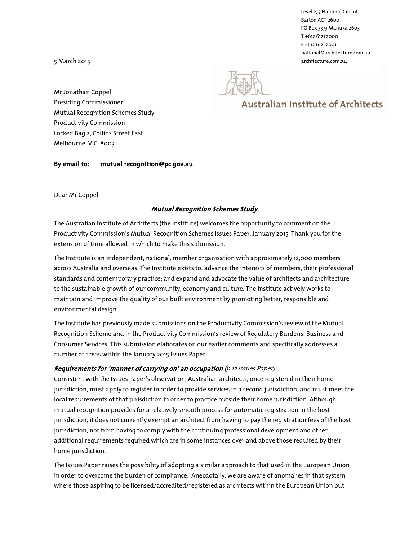Level 2, 7 National Circuit Barton ACT 2600 PO Box 3373 Manuka 2603 T +612 6121 2000 F +612 6121 2001 national@architecture.com.au 5 March 2015 architecture.com.au

# **Australian Institute of Architects**

Mr Jonathan Coppel Presiding Commissioner Mutual Recognition Schemes Study Productivity Commission Locked Bag 2, Collins Street East Melbourne VIC 8003

By email to: mutual recognition@pc.gov.au

Dear Mr Coppel

## Mutual Recognition Schemes Study

The Australian Institute of Architects (the Institute) welcomes the opportunity to comment on the Productivity Commission's Mutual Recognition Schemes Issues Paper, January 2015. Thank you for the extension of time allowed in which to make this submission.

The Institute is an independent, national, member organisation with approximately 12,000 members across Australia and overseas. The Institute exists to: advance the interests of members, their professional standards and contemporary practice; and expand and advocate the value of architects and architecture to the sustainable growth of our community, economy and culture. The Institute actively works to maintain and improve the quality of our built environment by promoting better, responsible and environmental design.

The Institute has previously made submissions on the Productivity Commission's review of the Mutual Recognition Scheme and in the Productivity Commission's review of Regulatory Burdens: Business and Consumer Services. This submission elaborates on our earlier comments and specifically addresses a number of areas within the January 2015 Issues Paper.

## Requirements for 'manner of carrying on' an occupation (p 12 Issues Paper)

Consistent with the Issues Paper's observation; Australian architects, once registered in their home jurisdiction, must apply to register in order to provide services in a second jurisdiction, and must meet the local requirements of that jurisdiction in order to practice outside their home jurisdiction. Although mutual recognition provides for a relatively smooth process for automatic registration in the host jurisdiction, it does not currently exempt an architect from having to pay the registration fees of the host jurisdiction, nor from having to comply with the continuing professional development and other additional requirements required which are in some instances over and above those required by their home jurisdiction.

The Issues Paper raises the possibility of adopting a similar approach to that used in the European Union in order to overcome the burden of compliance. Anecdotally, we are aware of anomalies in that system where those aspiring to be licensed/accredited/registered as architects within the European Union but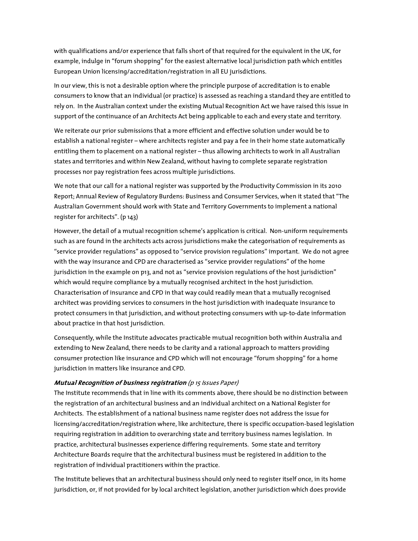with qualifications and/or experience that falls short of that required for the equivalent in the UK, for example, indulge in "forum shopping" for the easiest alternative local jurisdiction path which entitles European Union licensing/accreditation/registration in all EU jurisdictions.

In our view, this is not a desirable option where the principle purpose of accreditation is to enable consumers to know that an individual (or practice) is assessed as reaching a standard they are entitled to rely on. In the Australian context under the existing Mutual Recognition Act we have raised this issue in support of the continuance of an Architects Act being applicable to each and every state and territory.

We reiterate our prior submissions that a more efficient and effective solution under would be to establish a national register – where architects register and pay a fee in their home state automatically entitling them to placement on a national register – thus allowing architects to work in all Australian states and territories and within New Zealand, without having to complete separate registration processes nor pay registration fees across multiple jurisdictions.

We note that our call for a national register was supported by the Productivity Commission in its 2010 Report; Annual Review of Regulatory Burdens: Business and Consumer Services, when it stated that "The Australian Government should work with State and Territory Governments to implement a national register for architects". (p 143)

However, the detail of a mutual recognition scheme's application is critical. Non-uniform requirements such as are found in the architects acts across jurisdictions make the categorisation of requirements as "service provider regulations" as opposed to "service provision regulations" important. We do not agree with the way insurance and CPD are characterised as "service provider regulations" of the home jurisdiction in the example on p13, and not as "service provision regulations of the host jurisdiction" which would require compliance by a mutually recognised architect in the host jurisdiction. Characterisation of insurance and CPD in that way could readily mean that a mutually recognised architect was providing services to consumers in the host jurisdiction with inadequate insurance to protect consumers in that jurisdiction, and without protecting consumers with up-to-date information about practice in that host jurisdiction.

Consequently, while the Institute advocates practicable mutual recognition both within Australia and extending to New Zealand, there needs to be clarity and a rational approach to matters providing consumer protection like insurance and CPD which will not encourage "forum shopping" for a home jurisdiction in matters like insurance and CPD.

#### Mutual Recognition of business registration (p 15 Issues Paper)

The Institute recommends that in line with its comments above, there should be no distinction between the registration of an architectural business and an individual architect on a National Register for Architects. The establishment of a national business name register does not address the issue for licensing/accreditation/registration where, like architecture, there is specific occupation-based legislation requiring registration in addition to overarching state and territory business names legislation. In practice, architectural businesses experience differing requirements. Some state and territory Architecture Boards require that the architectural business must be registered in addition to the registration of individual practitioners within the practice.

The Institute believes that an architectural business should only need to register itself once, in its home jurisdiction, or, if not provided for by local architect legislation, another jurisdiction which does provide